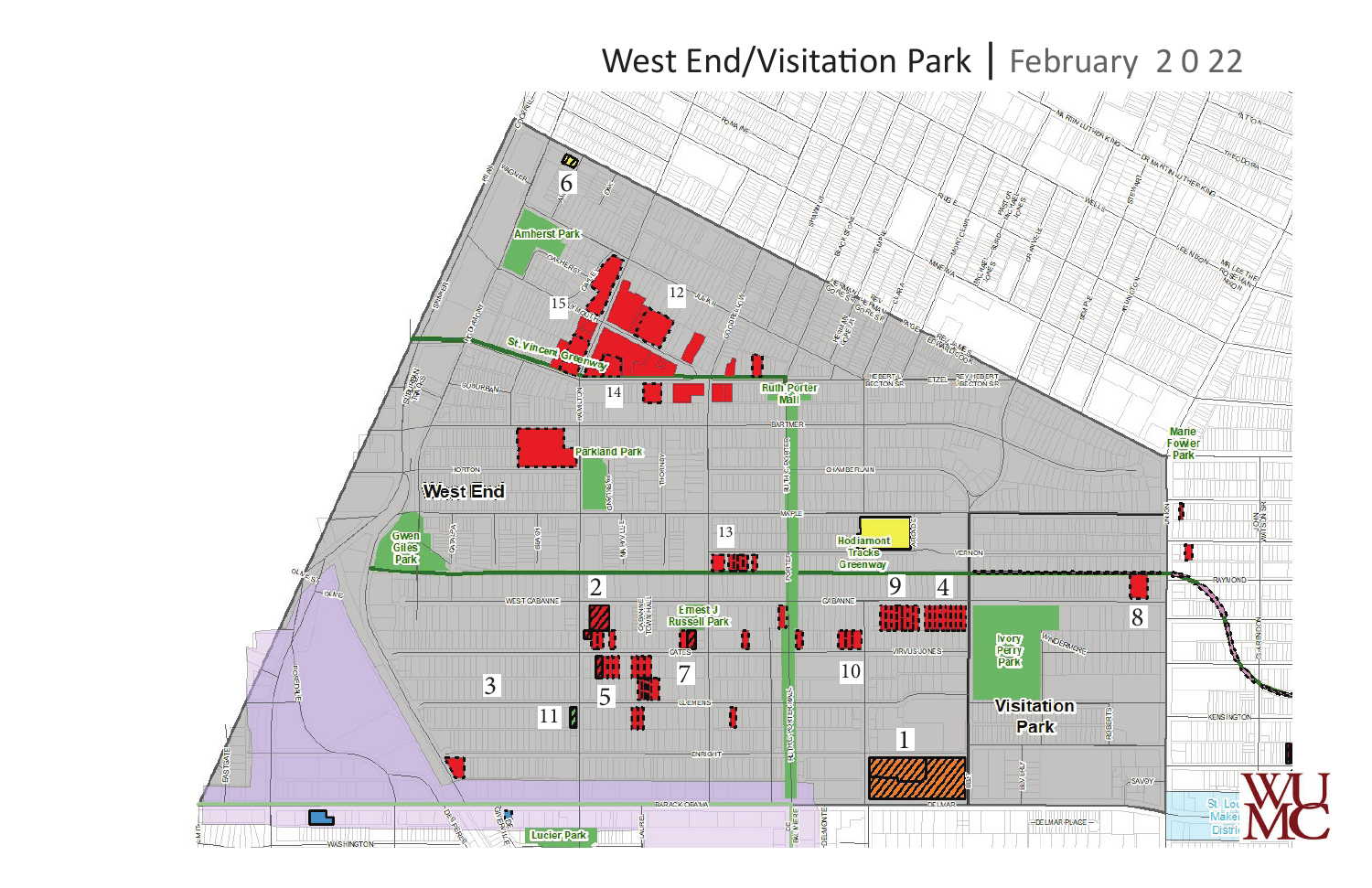# West End/Visitation Park | February 2022